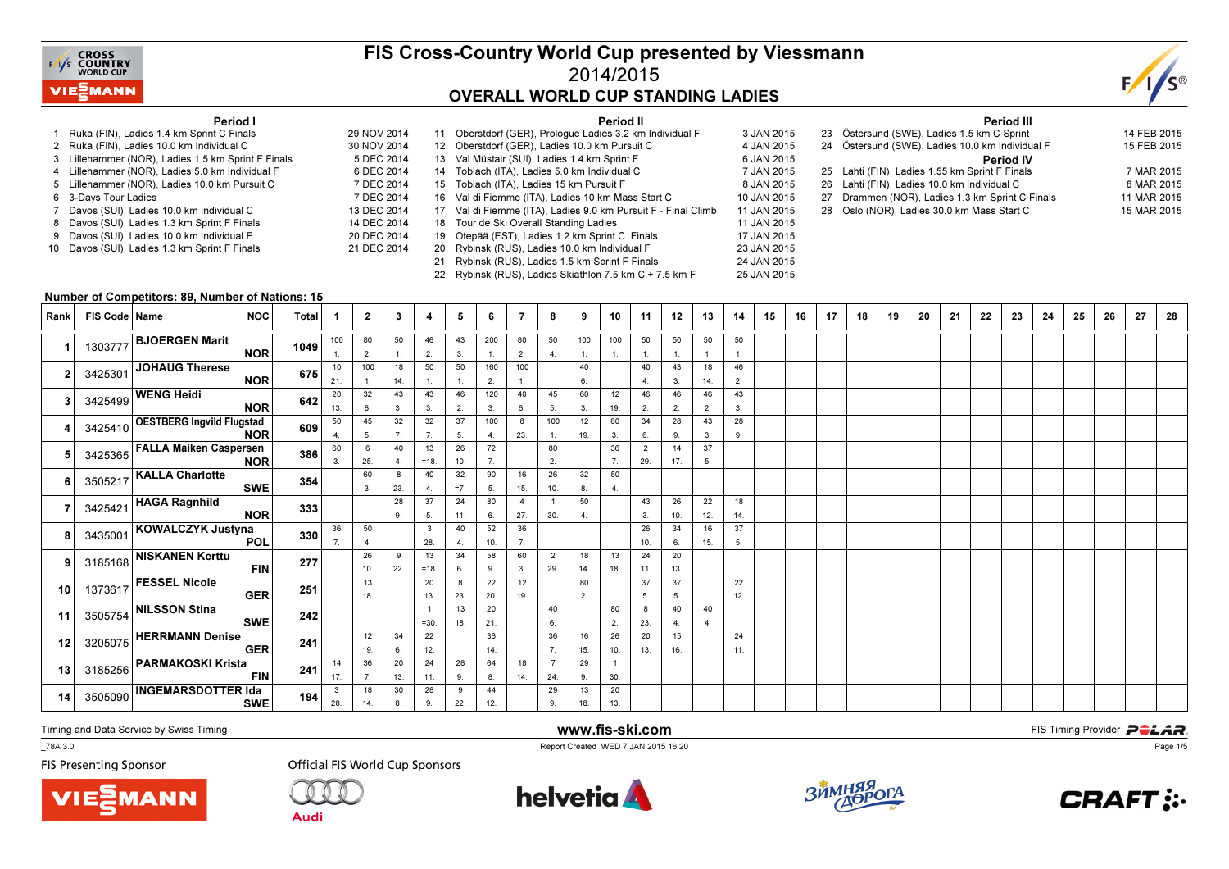

## FIS Cross-Country World Cup presented by Viessmann2014/2015OVERALL WORLD CUP STANDING LADIES

25 JAN 2015



#### Period I

- 1 Ruka (FIN), Ladies 1.4 km Sprint C Finals 29 NOV 20142 Ruka (FIN), Ladies 10.0 km Individual C
- 3 Lillehammer (NOR), Ladies 1.5 km Sprint F Finals
- 4 Lillehammer (NOR), Ladies 5.0 km Individual F
- 5 Lillehammer (NOR), Ladies 10.0 km Pursuit C
- s 7 DEC 2014 6 3-Days Tour Ladies
- 7 Davos (SUI), Ladies 10.0 km Individual C
- 8 Davos (SUI), Ladies 1.3 km Sprint F Finals
- 9 Davos (SUI), Ladies 10.0 km Individual F 10 Davos (SUI), Ladies 1.3 km Sprint F Finals

|             |    | Period II                                                     |             |
|-------------|----|---------------------------------------------------------------|-------------|
| 29 NOV 2014 |    | 11 Oberstdorf (GER), Prologue Ladies 3.2 km Individual F      | 3 JAN 2015  |
| 30 NOV 2014 |    | 12 Oberstdorf (GER), Ladies 10.0 km Pursuit C                 | 4 JAN 2015  |
| 5 DEC 2014  |    | 13 Val Müstair (SUI), Ladies 1.4 km Sprint F                  | 6 JAN 2015  |
| 6 DEC 2014  |    | 14 Toblach (ITA), Ladies 5.0 km Individual C                  | 7 JAN 2015  |
| 7 DEC 2014  |    | 15 Toblach (ITA), Ladies 15 km Pursuit F                      | 8 JAN 2015  |
| 7 DEC 2014  |    | 16 Val di Fiemme (ITA), Ladies 10 km Mass Start C             | 10 JAN 2015 |
| 13 DEC 2014 |    | 17 Val di Fiemme (ITA), Ladies 9.0 km Pursuit F - Final Climb | 11 JAN 2015 |
| 14 DEC 2014 |    | 18 Tour de Ski Overall Standing Ladies                        | 11 JAN 2015 |
| 20 DEC 2014 | 19 | Otepää (EST), Ladies 1.2 km Sprint C Finals                   | 17 JAN 2015 |
| 21 DEC 2014 |    | 20 Rybinsk (RUS), Ladies 10.0 km Individual F                 | 23 JAN 2015 |
|             | 21 | Rybinsk (RUS), Ladies 1.5 km Sprint F Finals                  | 24 JAN 2015 |
|             |    |                                                               |             |

22 Rybinsk (RUS), Ladies Skiathlon 7.5 km C + 7.5 km F

|  | <b>Period III</b>                               |             |
|--|-------------------------------------------------|-------------|
|  | 23 Östersund (SWE), Ladies 1.5 km C Sprint      | 14 FEB 2015 |
|  | 24 Östersund (SWE), Ladies 10.0 km Individual F | 15 FEB 2015 |
|  | <b>Period IV</b>                                |             |
|  | 25 Lahti (FIN), Ladies 1.55 km Sprint F Finals  | 7 MAR 2015  |
|  | 26 Lahti (FIN), Ladies 10.0 km Individual C     | 8 MAR 2015  |
|  | 27 Drammen (NOR), Ladies 1.3 km Sprint C Finals | 11 MAR 2015 |
|  | 28 Oslo (NOR), Ladies 30.0 km Mass Start C      | 15 MAR 2015 |
|  |                                                 |             |

#### Number of Competitors: 89, Number of Nations: 15

| <b>Rank</b> | FIS Code   Name | <b>NOC</b>                                      | Total | -1                  | $\mathbf{2}$ | 3         | 4            | 5            | -6        | -7                  | 8                     | 9                     | 10                    | 11                    | 12                   | 13        | 14                 | 15 | 16 | 17 | 18 | 19 | 20 | 21 | 22 | 23 | 24 | 25 | 26 | 27 | 28 |
|-------------|-----------------|-------------------------------------------------|-------|---------------------|--------------|-----------|--------------|--------------|-----------|---------------------|-----------------------|-----------------------|-----------------------|-----------------------|----------------------|-----------|--------------------|----|----|----|----|----|----|----|----|----|----|----|----|----|----|
|             | 1303777         | <b>BJOERGEN Marit</b><br><b>NOR</b>             | 1049  | 100                 | 80<br>2.     | 50<br>1.  | 46<br>2.     | 43<br>3.     | 200<br>1. | 80<br>2.            | 50<br>4.              | 100<br>$\mathbf{1}$ . | 100<br>$\overline{1}$ | 50<br>1.              | 50<br>$\overline{1}$ | 50        | 50<br>$\mathbf{1}$ |    |    |    |    |    |    |    |    |    |    |    |    |    |    |
|             | 3425301         | JOHAUG Therese<br><b>NOR</b>                    | 675   | 10<br>21.           | 100          | 18<br>14. | 50<br>1.     | 50<br>1.     | 160<br>2. | 100<br>$\mathbf{1}$ |                       | 40<br>6.              |                       | 40<br>$\overline{4}$  | 43<br>3.             | 18<br>14. | 46<br>2.           |    |    |    |    |    |    |    |    |    |    |    |    |    |    |
|             | 3425499         | <b>WENG Heidi</b><br><b>NOR</b>                 | 642   | 20<br>13.           | 32<br>8.     | 43<br>3.  | 43<br>3.     | 46<br>2.     | 120<br>3. | 40<br>6.            | 45<br>5.              | 60<br>3.              | 12<br>19.             | 46<br>2.              | 46<br>2.             | 46<br>2.  | 43<br>3.           |    |    |    |    |    |    |    |    |    |    |    |    |    |    |
|             |                 | 3425410 OESTBERG Ingvild Flugstad<br><b>NOR</b> | 609   | 50<br>4             | 45<br>5.     | 32<br>7.  | 32<br>7.     | 37<br>5.     | 100<br>4. | 8<br>23.            | 100<br>$\mathbf{1}$ . | 12<br>19.             | 60<br>3.              | 34<br>6.              | 28<br>9.             | 43<br>3.  | 28<br>9.           |    |    |    |    |    |    |    |    |    |    |    |    |    |    |
|             |                 | 3425365 FALLA Maiken Caspersen<br><b>NOR</b>    | 386   | 60<br>3.            | 6<br>25.     | 40<br>4.  | 13<br>$=18.$ | 26<br>10.    | 72<br>7.  |                     | 80<br>2.              |                       | 36<br>7.              | $\overline{2}$<br>29. | 14<br>17.            | 37<br>5.  |                    |    |    |    |    |    |    |    |    |    |    |    |    |    |    |
|             | 3505217         | <b>KALLA Charlotte</b><br><b>SWE</b>            | 354   |                     | 60<br>3.     | 8<br>23.  | 40<br>-4.    | 32<br>$=7$ . | 90<br>5.  | 16<br>15.           | 26<br>10.             | 32<br>8.              | 50<br>4.              |                       |                      |           |                    |    |    |    |    |    |    |    |    |    |    |    |    |    |    |
|             | 3425421         | HAGA Ragnhild<br><b>NOR</b>                     | 333   |                     |              | 28<br>9.  | 37<br>5.     | 24<br>11.    | 80<br>6.  | 4<br>27.            | $\overline{1}$<br>30. | 50<br>4.              |                       | 43<br>3.              | 26<br>10.            | 22<br>12. | 18<br>14.          |    |    |    |    |    |    |    |    |    |    |    |    |    |    |
|             |                 | 3435001 KOWALCZYK Justyna<br><b>POL</b>         | 330   | 36<br>7.            | 50<br>4.     |           | 3<br>28.     | 40<br>4.     | 52<br>10. | 36<br>7.            |                       |                       |                       | 26<br>10.             | 34<br>6.             | 16<br>15. | 37<br>5.           |    |    |    |    |    |    |    |    |    |    |    |    |    |    |
|             | 3185168         | <b>NISKANEN Kerttu</b><br><b>FIN</b>            | 277   |                     | 26<br>10.    | 9<br>22.  | 13<br>$=18.$ | 34<br>6.     | 58<br>9.  | 60<br>3.            | $\overline{2}$<br>29. | 18<br>14.             | 13<br>18.             | 24<br>11.             | 20<br>13.            |           |                    |    |    |    |    |    |    |    |    |    |    |    |    |    |    |
| 10          | 1373617         | <b>FESSEL Nicole</b><br><b>GER</b>              | 251   |                     | 13<br>18.    |           | 20<br>13.    | -8<br>23.    | 22<br>20. | 12<br>19.           |                       | 80<br>2.              |                       | 37<br>-5.             | 37<br>5.             |           | 22<br>12.          |    |    |    |    |    |    |    |    |    |    |    |    |    |    |
| 11          |                 | 3505754 NILSSON Stina<br><b>SWE</b>             | 242   |                     |              |           | $=30.$       | 13<br>18.    | 20<br>21. |                     | 40<br>6.              |                       | 80<br>2.              | 8<br>23.              | 40<br>4.             | 40<br>4.  |                    |    |    |    |    |    |    |    |    |    |    |    |    |    |    |
| 12          |                 | 3205075 HERRMANN Denise<br><b>GER</b>           | 241   |                     | 12<br>19.    | 34<br>6.  | 22<br>12.    |              | 36<br>14. |                     | 36<br>7.              | 16<br>15.             | 26<br>10.             | 20<br>13.             | 15<br>16.            |           | 24<br>11.          |    |    |    |    |    |    |    |    |    |    |    |    |    |    |
| 13          | 3185256         | <b>PARMAKOSKI Krista</b><br><b>FIN</b>          | 241   | 14<br>17.           | 36<br>7.     | 20<br>13. | 24<br>11.    | 28<br>9.     | 64<br>8.  | 18<br>14.           | $\overline{7}$<br>24. | 29<br>9.              | -1<br>30.             |                       |                      |           |                    |    |    |    |    |    |    |    |    |    |    |    |    |    |    |
| 14          | 3505090         | <b>INGEMARSDOTTER Ida</b><br><b>SWE</b>         | 194   | $\mathbf{3}$<br>28. | 18<br>14.    | 30<br>8.  | 28<br>9.     | 9<br>22.     | 44<br>12. |                     | 29<br>9.              | 13<br>18.             | 20<br>13.             |                       |                      |           |                    |    |    |    |    |    |    |    |    |    |    |    |    |    |    |

Timing and Data Service by Swiss Timing

VIEZMANN

\_78A 3.0

**FIS Presenting Sponsor** 



**Audi** 



www.fis-ski.com

Report Created WED 7 JAN 2015 16:20



**m**<br>FIS Timing Provider<br>FIS Timing Provider



Page 1/5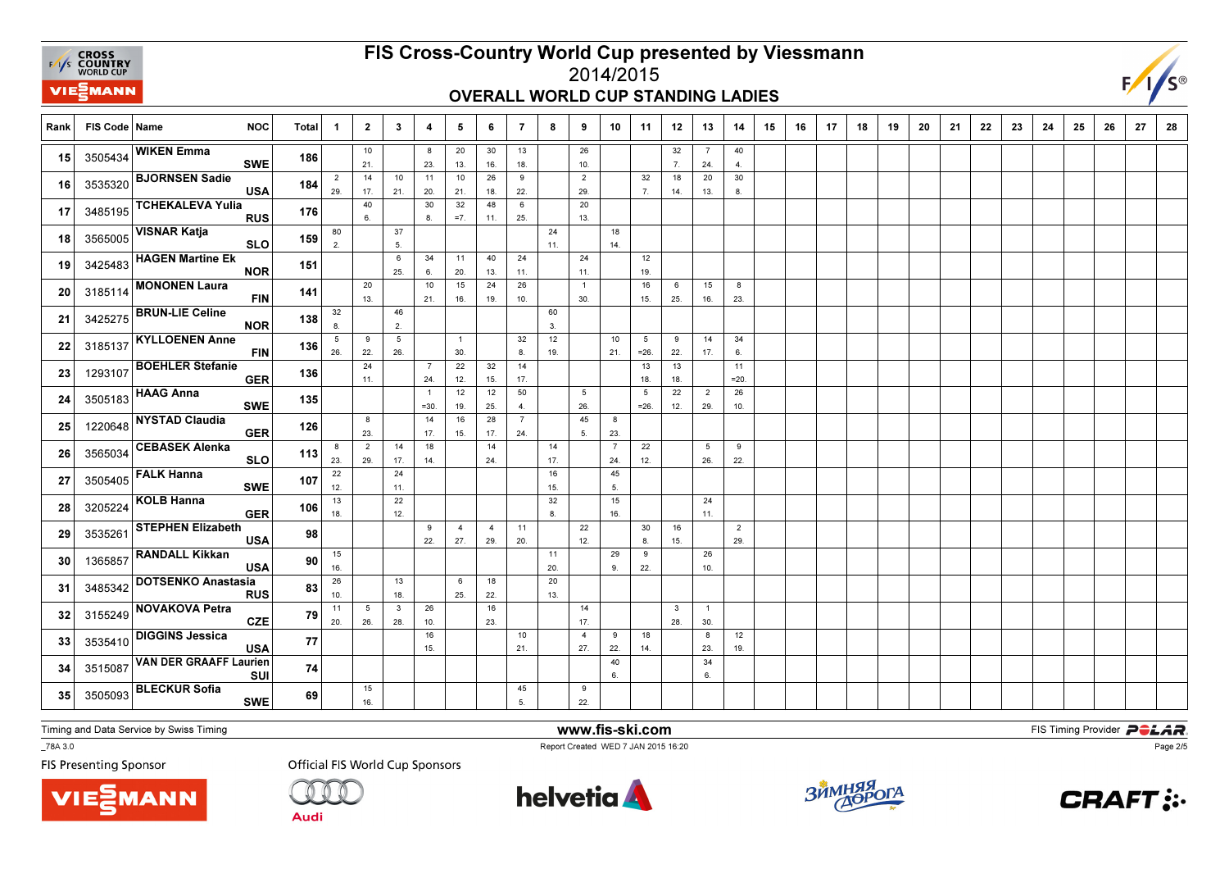

#### FIS Cross-Country World Cup presented by Viessmann2014/2015

### OVERALL WORLD CUP STANDING LADIES



Rank FIS Code Name NOC Total 1 1 2 | 3 | 4 | 5 | 6 | 7 | 8 | 9 | 10 | 11 | 12 | 13 | 14 | 15 | 16 | 17 | 18 | 19 9 | 20 | 21 | 22 | 23 | 24 | 25 | 26 | 27 | 28 10 21. $\frac{1}{14}$ 8 23. 1120 13. 1030 16.13 18.26 10. $\overline{2}$ 32 7.7 24.40 $\overline{4}$ **15** 3505434 **1**  $\begin{bmatrix} 36 & 36 & 16 \end{bmatrix}$  **186**  $\begin{bmatrix} 1 & 1 & 16 \end{bmatrix}$  18  $\begin{bmatrix} 1 & 16 & 18 \end{bmatrix}$  18  $\begin{bmatrix} 1 & 16 & 16 \end{bmatrix}$  1  $\begin{bmatrix} 1 & 1 & 16 \end{bmatrix}$  1  $\begin{bmatrix} 1 & 1 & 16 \end{bmatrix}$  1  $\begin{bmatrix} 1 & 1 & 16 \end{bmatrix}$ 15 3505434 WIKEN Emma<br>SWE <sup>186</sup> 2 29. 17.10 21. 20. 21.26 18.9 22. 29.32 7.18 14.20 13.30 $8.$ 8.<sup>16</sup>16 3535320 BJORNSEN Sadie USA <sup>184</sup> 40 6.30 8.32 =7.48 11.6 25.20 13. 173485195 TCHEKALEVA Yulia <sup>176</sup> 80 2.37 5.24 11.18 $14.$ 18 3565005  $\begin{vmatrix} 3665005 & -21 & 1 \end{vmatrix}$  159  $\begin{vmatrix} 2 & 1 \ 2 & 5 \end{vmatrix}$  | | |  $\begin{vmatrix} 11 & 1 \ 11 & 14 \end{vmatrix}$ 18 3565005 VISNAR Katja<br>SLO <sup>159</sup> 6 25.34 6.11 20.40 13.24 11.24 11.1219. 19.<sup>19</sup>19 3425483 HAGEN Martine Ek <sup>151</sup>  $\overline{20}$  13.10 21.15 16. $\overline{24}$  19.26 10. $\overline{1}$  30.16 15.6 25.15 16.823. 23.<sup>20</sup>20 3185114 MONONEN Laura<br>FIN <sup>141</sup> 32 8.46 2.60 3. 21 <sup>3425275</sup> BRUN-LIE Celine NOR <sup>138</sup> 5 26.9 22.5 26.1 30. $\frac{1}{22}$ 32 8. $\frac{1}{14}$  $\overline{12}$  19.10 21.5 =26.9 22. 1314 17.34 6. 22 <sup>3185137</sup> KYLLOENEN Anne FIN <sup>136</sup> 24 11.7 24. 12.32 15. $\frac{1}{12}$  17.13 18. 18.11 $= 20.$ =20.<sup>23</sup>23 1293107 BOEHLER Stefanie <sup>136</sup> 1 =30.12 19. 25.50 4.5 26. 455 =26.22 12.2 29.26 10. 24 <sup>3505183</sup> HAAG Anna SWE <sup>135</sup> 8 23.14 17.16 15.28 17.7 24. 5.823. 25 1220648  $\sim$  200  $\sim$  26  $\sim$  26  $\sim$  25  $\sim$  17. 15. 17. 24. 5. 23 25 1220648 NYSTAD Claudia <sup>126</sup> 8 23.2 29.14 17.18 14.14 24.14 17.7 24.22 12.5 26.9 $22.$ 26 3565034  $22.22$   $365034$   $22.22$   $36.22$   $36.22$   $36.22$   $36.22$ 26 3565034 CEBASEK Alenka SLO <sup>113</sup> 22 12.24 11. $\frac{1}{22}$ 16 15. $\frac{1}{32}$ 45 5. 273505405 FALK Hanna<br>SWE <sup>107</sup> 13 18. 12. 8.15 16.24 $11.$ 11.<sup>28</sup>28 3205224 KOLB Hanna GER <sup>106</sup> 9 22.4 27.4 29.11 20.22 12.30 8.16 15.229. 29.<sup>29</sup>29 3535261 STEPHEN Elizabeth A 98 15 16.11 20. $\frac{1}{20}$ 29 9.9 22.26 $10.$ 10.<sup>30</sup>30 1365857 RANDALL Kikkan <sup>90</sup> 26 10.13 18.6 25.18 22. $13<sub>1</sub>$ 13.<sup>31</sup>31 3485342 DOTSENKO Anastasia <sup>83</sup> 11 20.5 26.3 28.26 10.16 23.14 17.3 28.130. 30.<sup>32</sup>32 3155249 NOVAKOVA Petra CZE <sup>79</sup> 16 15.10 21.4 27.9 22.18 14.8 23.1219. 19.<sup>33</sup>33 3535410 DIGGINS Jessica<br>USA  $\overline{A}$  77 40 6.346. **34** 3515087  $\begin{bmatrix} 36.82 \end{bmatrix}$   $\begin{bmatrix} 36.82 \end{bmatrix}$   $\begin{bmatrix} 36.82 \end{bmatrix}$   $\begin{bmatrix} 36.82 \end{bmatrix}$   $\begin{bmatrix} 36.82 \end{bmatrix}$   $\begin{bmatrix} 36.82 \end{bmatrix}$   $\begin{bmatrix} 36.82 \end{bmatrix}$   $\begin{bmatrix} 36.82 \end{bmatrix}$   $\begin{bmatrix} 36.82 \end{bmatrix}$   $\begin{bmatrix} 36.82 \end{bmatrix}$  <sup>3515087</sup> VAN DER GRAAFF Laurien SUI <sup>74</sup> 15 16.45 5.922. 22.<sup>35</sup>35 3505093 BLECKUR Sofia<br>SWE E 69

Timing and Data Service by Swiss Timing

**VIE***MANN* 

\_78A 3.0

**FIS Presenting Sponsor** 

**Official FIS World Cup Sponsors** 

Audi



www.fis-ski.com

Report Created WED 7 JAN 2015 16:20



**m**<br>FIS Timing Provider<br>FIS Timing Provider



Page 2/5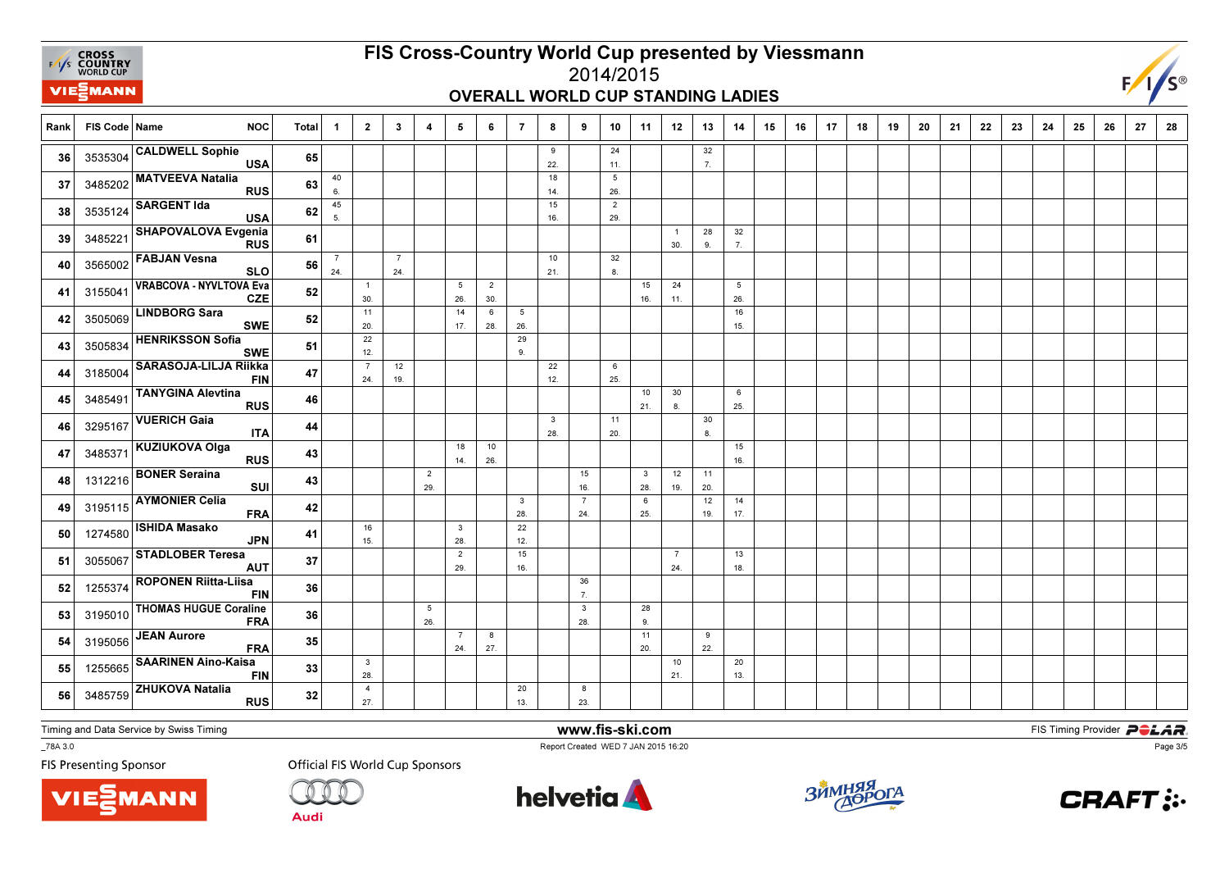

# FIS Cross-Country World Cup presented by Viessmann

#### 2014/2015OVERALL WORLD CUP STANDING LADIES



| Rank | FIS Code   Name | <b>NOC</b>                                   | Total | $\mathbf{1}$          | $\overline{2}$                 | $\mathbf{3}$          | 4                     | 5                     | 6                     | $\overline{7}$         | 8                   | 9                     | 10                     | 11                             | 12                    | 13        | 14                     | 15 | 16 | 17 | 18 | 19 | 20 | 21 | 22 | 23 | 24 | 25 | 26 | 27 | 28 |
|------|-----------------|----------------------------------------------|-------|-----------------------|--------------------------------|-----------------------|-----------------------|-----------------------|-----------------------|------------------------|---------------------|-----------------------|------------------------|--------------------------------|-----------------------|-----------|------------------------|----|----|----|----|----|----|----|----|----|----|----|----|----|----|
| 36   | 3535304         | <b>CALDWELL Sophie</b><br><b>USA</b>         | 65    |                       |                                |                       |                       |                       |                       |                        | 9<br>22.            |                       | 24<br>11.              |                                |                       | 32<br>7.  |                        |    |    |    |    |    |    |    |    |    |    |    |    |    |    |
| 37   | 3485202         | <b>MATVEEVA Natalia</b><br><b>RUS</b>        | 63    | 40<br>6.              |                                |                       |                       |                       |                       |                        | 18<br>14.           |                       | $5\phantom{.0}$<br>26. |                                |                       |           |                        |    |    |    |    |    |    |    |    |    |    |    |    |    |    |
| 38   | 3535124         | <b>SARGENT Ida</b><br><b>USA</b>             | 62    | 45<br>5               |                                |                       |                       |                       |                       |                        | 15<br>16.           |                       | $\overline{2}$<br>29.  |                                |                       |           |                        |    |    |    |    |    |    |    |    |    |    |    |    |    |    |
| 39   | 3485221         | SHAPOVALOVA Evgenia<br><b>RUS</b>            | 61    |                       |                                |                       |                       |                       |                       |                        |                     |                       |                        |                                | $\overline{1}$<br>30. | 28<br>9.  | 32<br>7.               |    |    |    |    |    |    |    |    |    |    |    |    |    |    |
| 40   | 3565002         | <b>FABJAN Vesna</b><br><b>SLO</b>            | 56    | $\overline{7}$<br>24. |                                | $\overline{7}$<br>24. |                       |                       |                       |                        | 10<br>21.           |                       | 32<br>8.               |                                |                       |           |                        |    |    |    |    |    |    |    |    |    |    |    |    |    |    |
| 41   | 3155041         | <b>VRABCOVA - NYVLTOVA Eva</b><br><b>CZE</b> | 52    |                       | $\overline{1}$<br>30.          |                       |                       | 5<br>26.              | $\overline{2}$<br>30. |                        |                     |                       |                        | 15<br>16.                      | 24<br>11.             |           | $5\overline{5}$<br>26. |    |    |    |    |    |    |    |    |    |    |    |    |    |    |
| 42   | 3505069         | <b>LINDBORG Sara</b><br><b>SWE</b>           | 52    |                       | 11<br>20.                      |                       |                       | 14<br>17.             | 6<br>28.              | $5\phantom{.0}$<br>26. |                     |                       |                        |                                |                       |           | 16<br>15.              |    |    |    |    |    |    |    |    |    |    |    |    |    |    |
| 43   | 3505834         | <b>HENRIKSSON Sofia</b><br><b>SWE</b>        | 51    |                       | 22<br>12.                      |                       |                       |                       |                       | 29<br>9.               |                     |                       |                        |                                |                       |           |                        |    |    |    |    |    |    |    |    |    |    |    |    |    |    |
| 44   | 3185004         | <b>SARASOJA-LILJA Riikka</b><br><b>FIN</b>   | 47    |                       | $\overline{7}$<br>24.          | 12<br>19.             |                       |                       |                       |                        | 22<br>12.           |                       | 6<br>25.               |                                |                       |           |                        |    |    |    |    |    |    |    |    |    |    |    |    |    |    |
| 45   | 3485491         | <b>TANYGINA Alevtina</b><br><b>RUS</b>       | 46    |                       |                                |                       |                       |                       |                       |                        |                     |                       |                        | 10<br>21.                      | 30<br>8               |           | 6<br>25.               |    |    |    |    |    |    |    |    |    |    |    |    |    |    |
| 46   | 3295167         | <b>VUERICH Gaia</b><br><b>ITA</b>            | 44    |                       |                                |                       |                       |                       |                       |                        | $\mathbf{3}$<br>28. |                       | 11<br>20.              |                                |                       | 30<br>8.  |                        |    |    |    |    |    |    |    |    |    |    |    |    |    |    |
| 47   | 3485371         | KUZIUKOVA Olga<br><b>RUS</b>                 | 43    |                       |                                |                       |                       | 18<br>14.             | 10<br>26.             |                        |                     |                       |                        |                                |                       |           | 15<br>16.              |    |    |    |    |    |    |    |    |    |    |    |    |    |    |
| 48   | 1312216         | <b>BONER Seraina</b><br>SUI                  | 43    |                       |                                |                       | $\overline{2}$<br>29. |                       |                       |                        |                     | 15<br>16.             |                        | $\overline{\mathbf{3}}$<br>28. | 12<br>19.             | 11<br>20. |                        |    |    |    |    |    |    |    |    |    |    |    |    |    |    |
| 49   | 3195115         | <b>AYMONIER Celia</b><br><b>FRA</b>          | 42    |                       |                                |                       |                       |                       |                       | $\mathbf{3}$<br>28.    |                     | $\overline{7}$<br>24. |                        | 6<br>25.                       |                       | 12<br>19. | 14<br>17.              |    |    |    |    |    |    |    |    |    |    |    |    |    |    |
| 50   | 1274580         | <b>ISHIDA Masako</b><br><b>JPN</b>           | 41    |                       | 16<br>15.                      |                       |                       | $\mathbf{3}$<br>28.   |                       | 22<br>12.              |                     |                       |                        |                                |                       |           |                        |    |    |    |    |    |    |    |    |    |    |    |    |    |    |
| 51   | 3055067         | <b>STADLOBER Teresa</b><br><b>AUT</b>        | 37    |                       |                                |                       |                       | $\overline{2}$<br>29. |                       | 15<br>16.              |                     |                       |                        |                                | $\overline{7}$<br>24. |           | 13<br>18.              |    |    |    |    |    |    |    |    |    |    |    |    |    |    |
| 52   | 1255374         | <b>ROPONEN Riitta-Liisa</b><br><b>FIN</b>    | 36    |                       |                                |                       |                       |                       |                       |                        |                     | 36<br>$\overline{7}$  |                        |                                |                       |           |                        |    |    |    |    |    |    |    |    |    |    |    |    |    |    |
| 53   | 3195010         | <b>THOMAS HUGUE Coraline</b><br><b>FRA</b>   | 36    |                       |                                |                       | 5<br>26.              |                       |                       |                        |                     | $\mathbf{3}$<br>28.   |                        | 28<br>9.                       |                       |           |                        |    |    |    |    |    |    |    |    |    |    |    |    |    |    |
| 54   | 3195056         | <b>JEAN Aurore</b><br><b>FRA</b>             | 35    |                       |                                |                       |                       | $\overline{7}$<br>24. | 8<br>27.              |                        |                     |                       |                        | 11<br>20.                      |                       | 9<br>22.  |                        |    |    |    |    |    |    |    |    |    |    |    |    |    |    |
| 55   | 1255665         | <b>SAARINEN Aino-Kaisa</b><br><b>FIN</b>     | 33    |                       | $\overline{\mathbf{3}}$<br>28. |                       |                       |                       |                       |                        |                     |                       |                        |                                | 10<br>21.             |           | 20<br>13.              |    |    |    |    |    |    |    |    |    |    |    |    |    |    |
| 56   | 3485759         | <b>ZHUKOVA Natalia</b><br><b>RUS</b>         | 32    |                       | $\overline{4}$<br>27.          |                       |                       |                       |                       | 20<br>13.              |                     | 8<br>23.              |                        |                                |                       |           |                        |    |    |    |    |    |    |    |    |    |    |    |    |    |    |

Timing and Data Service by Swiss Timing

VIEZMANN

\_78A 3.0

**FIS Presenting Sponsor** 

**Official FIS World Cup Sponsors** 

**Audi** 



www.fis-ski.com

Report Created WED 7 JAN 2015 16:20



**m**<br>FIS Timing Provider<br>FIS Timing Provider



Page 3/5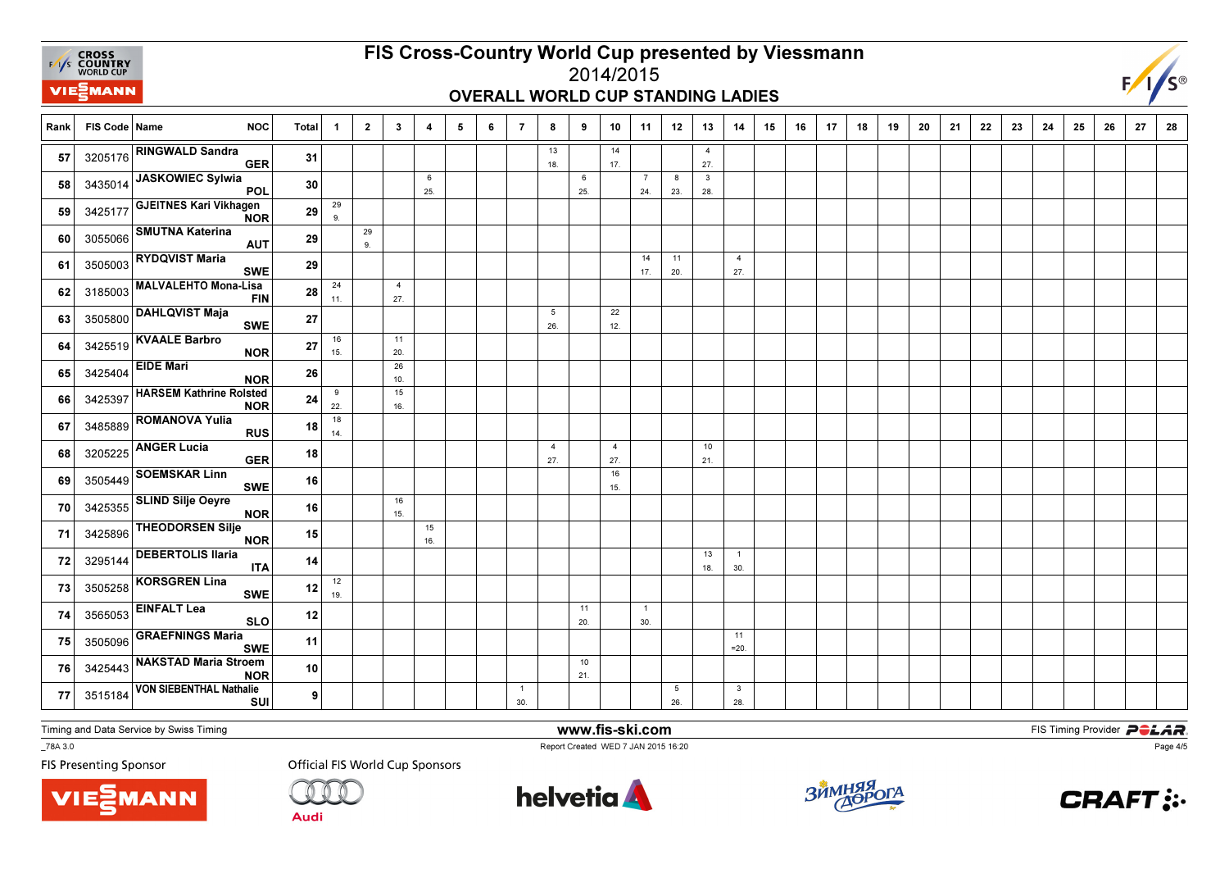

### FIS Cross-Country World Cup presented by Viessmann2014/2015

## OVERALL WORLD CUP STANDING LADIES



Rank FIS Code Name NOC Total 1 1 2 | 3 | 4 | 5 | 6 | 7 | 8 | 9 | 10 | 11 | 12 | 13 | 14 | 15 | 16 | 17 | 18 | 19 9 | 20 | 21 | 22 | 23 | 24 | 25 | 26 | 27 | 28 13 18.14 17.4 $27.$ **57** 3205176  $\left|\text{...}\right|$  27. 57 3205176 RINGWALD Sandra GERR  $31$ 6 25.6 25.7 24.8 23.328. 28.<sup>58</sup> <sup>3435014</sup> JASKOWIEC Sylwia POL <sup>30</sup> 29 $9<sub>1</sub>$ 9.<sup>59</sup>**59 3425177 GJEITNES Kari Vikhagen** R  $^{29}$ 29 $9<sub>1</sub>$ 60 3055066  $\frac{3055066}{9}$  <sup>3055066</sup> SMUTNA Katerina AUT <sup>29</sup> 14 17.11 20.4 $27.$ 61 3505003  $\sim$  20.61  $\sim$  29 | | | | | | | | |  $\sim$  |  $\sim$  |  $\sim$  |  $\sim$  |  $\sim$  |  $\sim$  |  $\sim$  |  $\sim$  |  $\sim$  |  $\sim$  |  $\sim$  |  $\sim$  |  $\sim$  |  $\sim$  |  $\sim$  |  $\sim$  |  $\sim$  |  $\sim$  |  $\sim$  |  $\sim$  |  $\sim$  |  $\sim$  |  $\sim$  |  $\sim$  |  $\sim$  61 3505003 RYDQVIST Maria <sup>29</sup> 24 11.427. 62 3185003 **FIN** 28  $\frac{1}{11}$  28 62 3185003 MALVALEHTO Mona-Lisa<br>FIN  $\frac{28}{27}$ 5 26.22 $12.$ 12.<sup>63</sup>63 3505800 DAHLQVIST Maja<br>SWE  $E$  27 16 15.1120. 64 3425519 **EXECUTE DURE NOR** 27  $\begin{bmatrix} 27 \\ 15 \end{bmatrix}$  20. 64 3425519 KVAALE Barbro NOR <sup>27</sup> 26 $10.$ 10.<sup>65</sup>65 3425404 EIDE Mari NOR  $\frac{26}{24}$ 9 22.15 $16.$ 66 3425397  $\left| \begin{array}{cc} 3425397 & \text{m} \\ 16.6 & \text{NOR} \end{array} \right|$  24  $_{22}$ 66 3425397 HARSEM Kathrine Rolsted NOR $\overline{R}$  24 18 $14.$  $\begin{array}{|c|c|c|c|c|}\n\hline\n\text{1} & 3485889 \\
\hline\n\end{array}$  RUS ROMANOVA Yulia <sup>18</sup> 4 27.4 27.10 $21.$ 68 3205225  $\left| \begin{array}{ccc} 3205225 & -225.6 & -18 \\ -27.6 & 27.6 & -18 \end{array} \right|$ 68 3205225 ANGER Lucia GERR  $^{18}$ 16 $15.$ 15.<sup>69</sup>**69** 3505449 SOEMSKAR Linn <sup>16</sup> 16 $15.$ 15.<sup>70</sup> <sup>3425355</sup>SLIND Silje Oeyre<br>NOR R 16 15 16. 713425896 THEODORSEN Silje<br>NOR R  $^{15}$ 13 18.1 30. 723295144 DEBERTOLIS Ilaria <sup>14</sup> 12 $19<sub>1</sub>$ 19.<sup>73</sup>**73** 3505258 KORSGREN Lina <sup>12</sup> 11 20.1 30. 74 <sup>3565053</sup> EINFALT Lea SLO <sup>12</sup> 11 $= 20.$ =20.<sup>75</sup>75 3505096 GRAEFNINGS Maria<br>SWE <sup>11</sup> 10 $21.$ 21.<sup>76</sup>76 3425443 NAKSTAD Maria Stroem <sup>10</sup>  $\overline{1}$  30.5 26.3 28. 77 <sup>3515184</sup>VON SIEBENTHAL Nathalie<br>SUI 9

Timing and Data Service by Swiss Timing

\_78A 3.0



 www.fis-ski.comReport Created WED 7 JAN 2015 16:20

**m**<br>FIS Timing Provider<br>FIS Timing Provider

**FIS Presenting Sponsor** 





Audi







Page 4/5